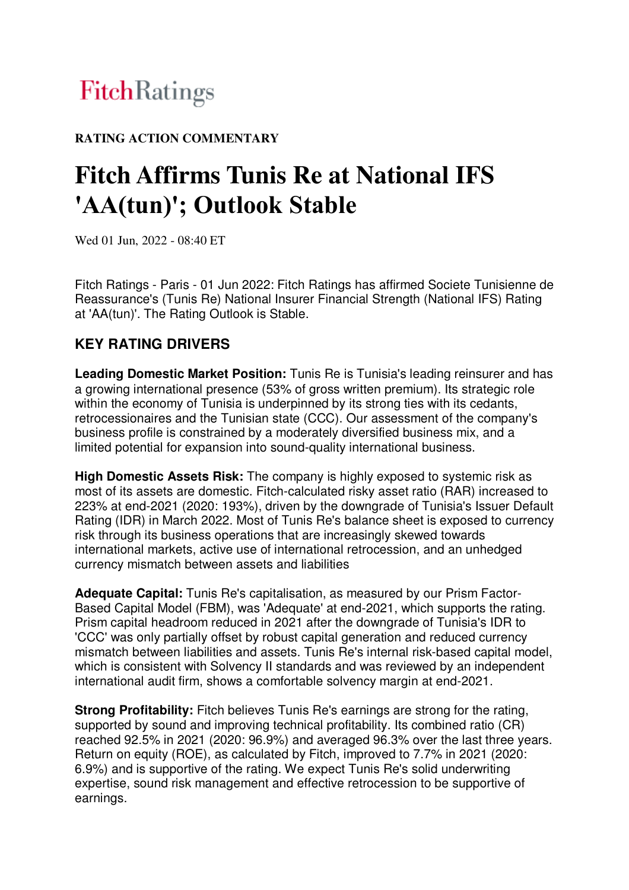# FitchRatings

### **RATING ACTION COMMENTARY**

# **Fitch Affirms Tunis Re at National IFS**  'AA(tun)'; Outlook Stable

Wed 01 Jun, 2022 - 08:40 ET

Fitch Ratings - Paris - 01 Jun 2022: Fitch Ratings has affirmed Societe Tunisienne de Reassurance's (Tunis Re) National Insurer Financial Strength (National IFS) Rating at 'AA(tun)'. The Rating Outlook is Stable.

## **KEY RATING DRIVERS**

**Leading Domestic Market Position:** Tunis Re is Tunisia's leading reinsurer and has a growing international presence (53% of gross written premium). Its strategic role within the economy of Tunisia is underpinned by its strong ties with its cedants, retrocessionaires and the Tunisian state (CCC). Our assessment of the company's business profile is constrained by a moderately diversified business mix, and a limited potential for expansion into sound-quality international business.

**High Domestic Assets Risk:** The company is highly exposed to systemic risk as most of its assets are domestic. Fitch-calculated risky asset ratio (RAR) increased to 223% at end-2021 (2020: 193%), driven by the downgrade of Tunisia's Issuer Default Rating (IDR) in March 2022. Most of Tunis Re's balance sheet is exposed to currency risk through its business operations that are increasingly skewed towards international markets, active use of international retrocession, and an unhedged currency mismatch between assets and liabilities

**Adequate Capital:** Tunis Re's capitalisation, as measured by our Prism Factor-Based Capital Model (FBM), was 'Adequate' at end-2021, which supports the rating. Prism capital headroom reduced in 2021 after the downgrade of Tunisia's IDR to 'CCC' was only partially offset by robust capital generation and reduced currency mismatch between liabilities and assets. Tunis Re's internal risk-based capital model, which is consistent with Solvency II standards and was reviewed by an independent international audit firm, shows a comfortable solvency margin at end-2021.

**Strong Profitability:** Fitch believes Tunis Re's earnings are strong for the rating, supported by sound and improving technical profitability. Its combined ratio (CR) reached 92.5% in 2021 (2020: 96.9%) and averaged 96.3% over the last three years. Return on equity (ROE), as calculated by Fitch, improved to 7.7% in 2021 (2020: 6.9%) and is supportive of the rating. We expect Tunis Re's solid underwriting expertise, sound risk management and effective retrocession to be supportive of earnings.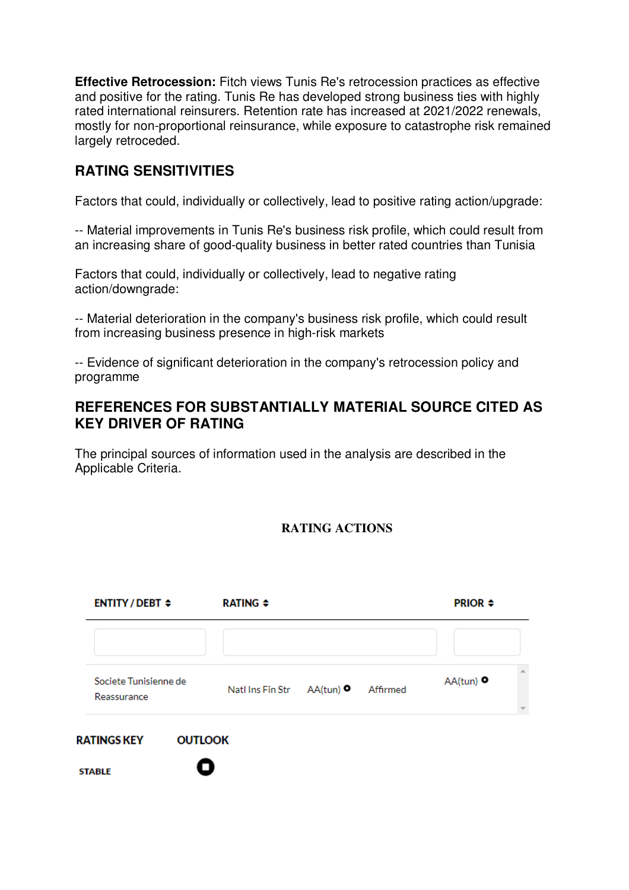**Effective Retrocession:** Fitch views Tunis Re's retrocession practices as effective and positive for the rating. Tunis Re has developed strong business ties with highly rated international reinsurers. Retention rate has increased at 2021/2022 renewals, mostly for non-proportional reinsurance, while exposure to catastrophe risk remained largely retroceded.

#### **RATING SENSITIVITIES**

Factors that could, individually or collectively, lead to positive rating action/upgrade:

-- Material improvements in Tunis Re's business risk profile, which could result from an increasing share of good-quality business in better rated countries than Tunisia

Factors that could, individually or collectively, lead to negative rating action/downgrade:

-- Material deterioration in the company's business risk profile, which could result from increasing business presence in high-risk markets

-- Evidence of significant deterioration in the company's retrocession policy and programme

#### **REFERENCES FOR SUBSTANTIALLY MATERIAL SOURCE CITED AS KEY DRIVER OF RATING**

The principal sources of information used in the analysis are described in the Applicable Criteria.

#### **RATING ACTIONS**

|               | <b>ENTITY/DEBT ≑</b>                 |                | <b>RATING ≑</b>                        |  |  | <b>PRIOR <math>\div</math></b> |  |
|---------------|--------------------------------------|----------------|----------------------------------------|--|--|--------------------------------|--|
|               |                                      |                |                                        |  |  |                                |  |
|               | Societe Tunisienne de<br>Reassurance |                | Natl Ins Fin Str AA(tun) O<br>Affirmed |  |  | $AA(tun)$ $\bullet$            |  |
|               | <b>RATINGS KEY</b>                   | <b>OUTLOOK</b> |                                        |  |  |                                |  |
| <b>STABLE</b> |                                      |                |                                        |  |  |                                |  |